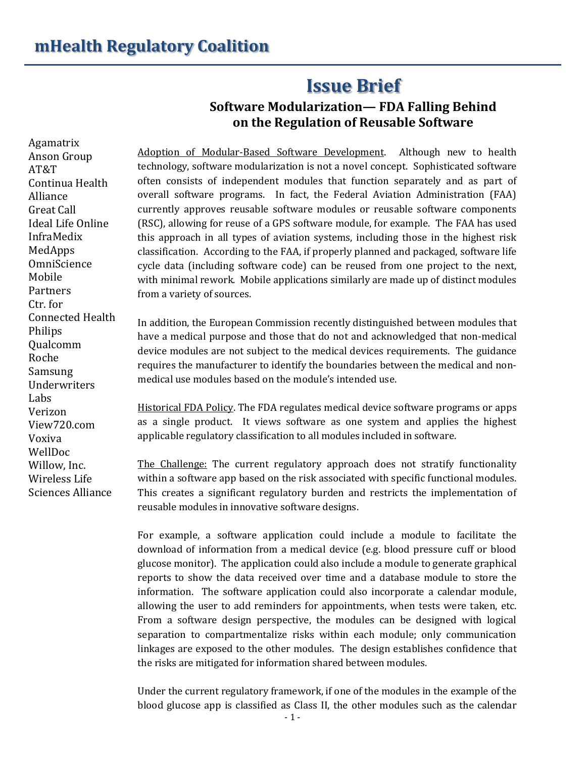## **Issue Brief**

## **Software Modularization— FDA Falling Behind on the Regulation of Reusable Software**

Agamatrix Anson Group AT&T Continua Health Alliance Great Call Ideal Life Online InfraMedix MedApps **OmniScience** Mobile Partners Ctr. for Connected Health Philips Qualcomm Roche Samsung Underwriters Labs Verizon View720.com Voxiva WellDoc Willow, Inc. Wireless Life Sciences Alliance

Adoption of Modular-Based Software Development. Although new to health technology, software modularization is not a novel concept. Sophisticated software often consists of independent modules that function separately and as part of overall software programs. In fact, the Federal Aviation Administration (FAA) currently approves reusable software modules or reusable software components (RSC), allowing for reuse of a GPS software module, for example. The FAA has used this approach in all types of aviation systems, including those in the highest risk classification. According to the FAA, if properly planned and packaged, software life cycle data (including software code) can be reused from one project to the next, with minimal rework. Mobile applications similarly are made up of distinct modules from a variety of sources.

In addition, the European Commission recently distinguished between modules that have a medical purpose and those that do not and acknowledged that non-medical device modules are not subject to the medical devices requirements. The guidance requires the manufacturer to identify the boundaries between the medical and nonmedical use modules based on the module's intended use.

Historical FDA Policy. The FDA regulates medical device software programs or apps as a single product. It views software as one system and applies the highest applicable regulatory classification to all modules included in software.

The Challenge: The current regulatory approach does not stratify functionality within a software app based on the risk associated with specific functional modules. This creates a significant regulatory burden and restricts the implementation of reusable modules in innovative software designs.

For example, a software application could include a module to facilitate the download of information from a medical device (e.g. blood pressure cuff or blood glucose monitor). The application could also include a module to generate graphical reports to show the data received over time and a database module to store the information. The software application could also incorporate a calendar module, allowing the user to add reminders for appointments, when tests were taken, etc. From a software design perspective, the modules can be designed with logical separation to compartmentalize risks within each module; only communication linkages are exposed to the other modules. The design establishes confidence that the risks are mitigated for information shared between modules.

Under the current regulatory framework, if one of the modules in the example of the blood glucose app is classified as Class II, the other modules such as the calendar